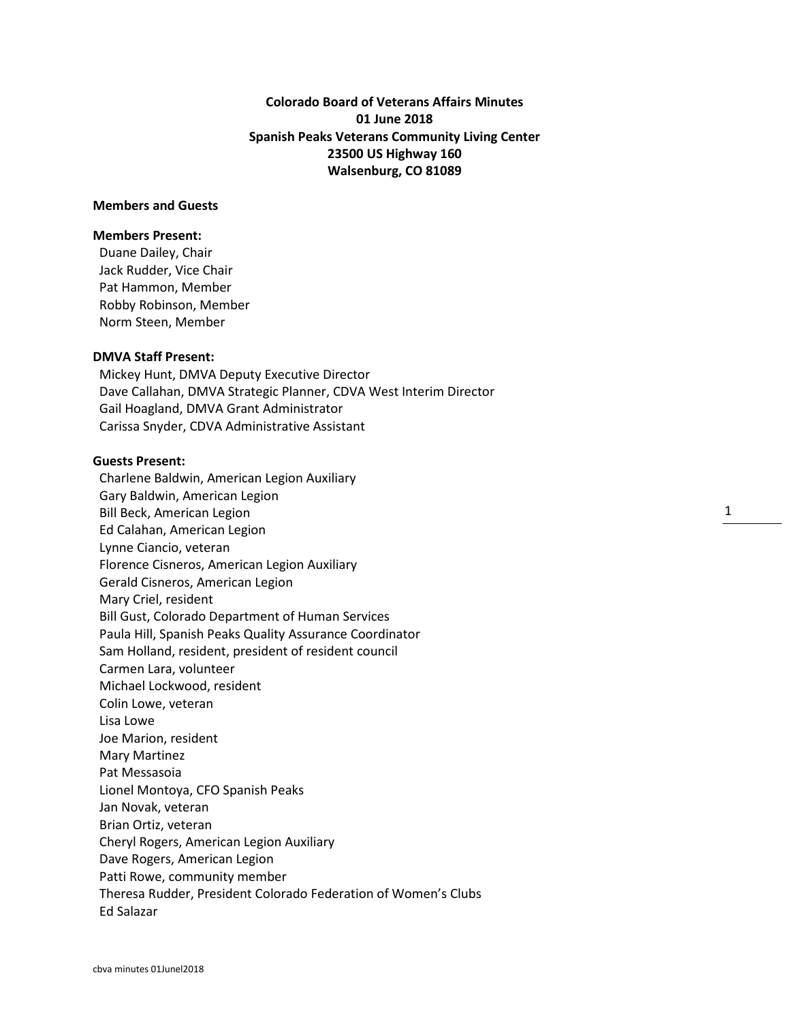**Colorado Board of Veterans Affairs Minutes 01 June 2018 Spanish Peaks Veterans Community Living Center 23500 US Highway 160 Walsenburg, CO 81089**

# **Members and Guests**

## **Members Present:**

Duane Dailey, Chair Jack Rudder, Vice Chair Pat Hammon, Member Robby Robinson, Member Norm Steen, Member

#### **DMVA Staff Present:**

Mickey Hunt, DMVA Deputy Executive Director Dave Callahan, DMVA Strategic Planner, CDVA West Interim Director Gail Hoagland, DMVA Grant Administrator Carissa Snyder, CDVA Administrative Assistant

## **Guests Present:**

Charlene Baldwin, American Legion Auxiliary Gary Baldwin, American Legion Bill Beck, American Legion Ed Calahan, American Legion Lynne Ciancio, veteran Florence Cisneros, American Legion Auxiliary Gerald Cisneros, American Legion Mary Criel, resident Bill Gust, Colorado Department of Human Services Paula Hill, Spanish Peaks Quality Assurance Coordinator Sam Holland, resident, president of resident council Carmen Lara, volunteer Michael Lockwood, resident Colin Lowe, veteran Lisa Lowe Joe Marion, resident Mary Martinez Pat Messasoia Lionel Montoya, CFO Spanish Peaks Jan Novak, veteran Brian Ortiz, veteran Cheryl Rogers, American Legion Auxiliary Dave Rogers, American Legion Patti Rowe, community member Theresa Rudder, President Colorado Federation of Women's Clubs Ed Salazar

1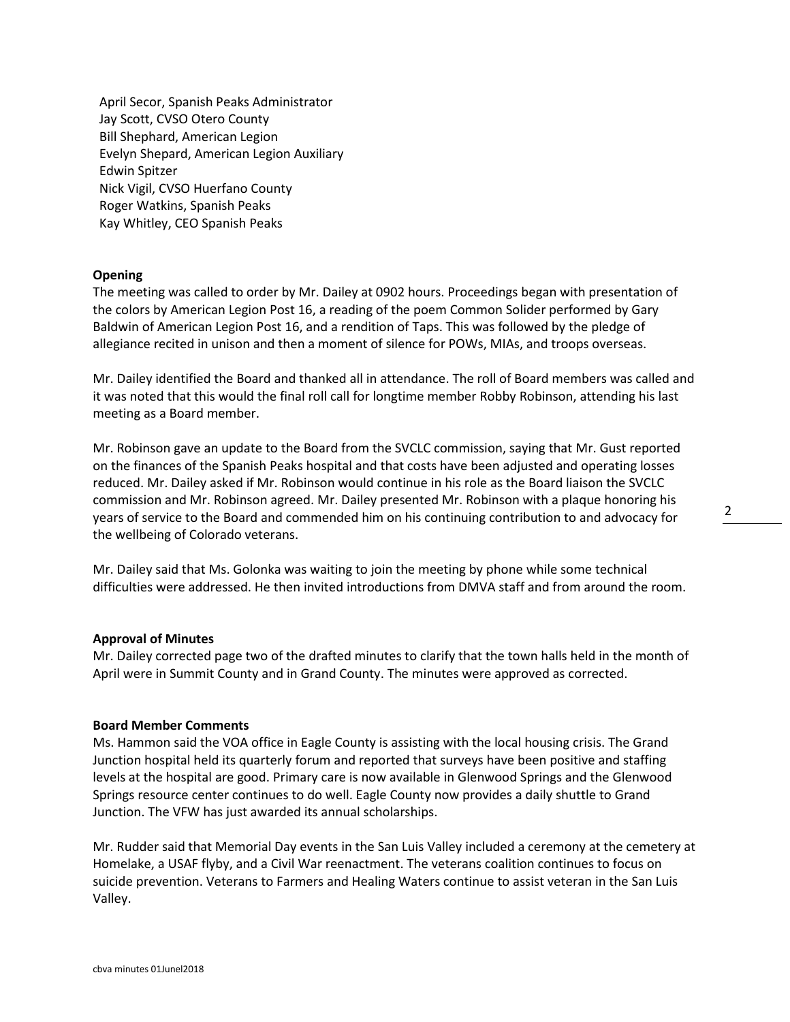April Secor, Spanish Peaks Administrator Jay Scott, CVSO Otero County Bill Shephard, American Legion Evelyn Shepard, American Legion Auxiliary Edwin Spitzer Nick Vigil, CVSO Huerfano County Roger Watkins, Spanish Peaks Kay Whitley, CEO Spanish Peaks

#### **Opening**

The meeting was called to order by Mr. Dailey at 0902 hours. Proceedings began with presentation of the colors by American Legion Post 16, a reading of the poem Common Solider performed by Gary Baldwin of American Legion Post 16, and a rendition of Taps. This was followed by the pledge of allegiance recited in unison and then a moment of silence for POWs, MIAs, and troops overseas.

Mr. Dailey identified the Board and thanked all in attendance. The roll of Board members was called and it was noted that this would the final roll call for longtime member Robby Robinson, attending his last meeting as a Board member.

Mr. Robinson gave an update to the Board from the SVCLC commission, saying that Mr. Gust reported on the finances of the Spanish Peaks hospital and that costs have been adjusted and operating losses reduced. Mr. Dailey asked if Mr. Robinson would continue in his role as the Board liaison the SVCLC commission and Mr. Robinson agreed. Mr. Dailey presented Mr. Robinson with a plaque honoring his years of service to the Board and commended him on his continuing contribution to and advocacy for the wellbeing of Colorado veterans.

Mr. Dailey said that Ms. Golonka was waiting to join the meeting by phone while some technical difficulties were addressed. He then invited introductions from DMVA staff and from around the room.

#### **Approval of Minutes**

Mr. Dailey corrected page two of the drafted minutes to clarify that the town halls held in the month of April were in Summit County and in Grand County. The minutes were approved as corrected.

#### **Board Member Comments**

Ms. Hammon said the VOA office in Eagle County is assisting with the local housing crisis. The Grand Junction hospital held its quarterly forum and reported that surveys have been positive and staffing levels at the hospital are good. Primary care is now available in Glenwood Springs and the Glenwood Springs resource center continues to do well. Eagle County now provides a daily shuttle to Grand Junction. The VFW has just awarded its annual scholarships.

Mr. Rudder said that Memorial Day events in the San Luis Valley included a ceremony at the cemetery at Homelake, a USAF flyby, and a Civil War reenactment. The veterans coalition continues to focus on suicide prevention. Veterans to Farmers and Healing Waters continue to assist veteran in the San Luis Valley.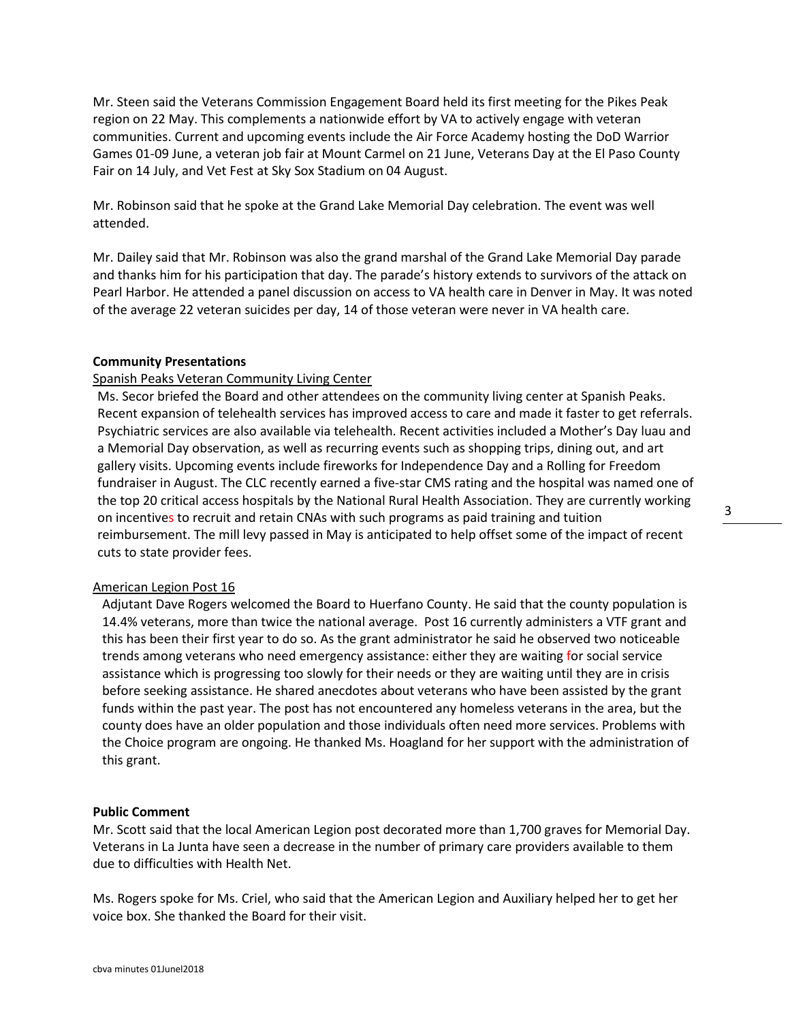Mr. Steen said the Veterans Commission Engagement Board held its first meeting for the Pikes Peak region on 22 May. This complements a nationwide effort by VA to actively engage with veteran communities. Current and upcoming events include the Air Force Academy hosting the DoD Warrior Games 01-09 June, a veteran job fair at Mount Carmel on 21 June, Veterans Day at the El Paso County Fair on 14 July, and Vet Fest at Sky Sox Stadium on 04 August.

Mr. Robinson said that he spoke at the Grand Lake Memorial Day celebration. The event was well attended.

Mr. Dailey said that Mr. Robinson was also the grand marshal of the Grand Lake Memorial Day parade and thanks him for his participation that day. The parade's history extends to survivors of the attack on Pearl Harbor. He attended a panel discussion on access to VA health care in Denver in May. It was noted of the average 22 veteran suicides per day, 14 of those veteran were never in VA health care.

## **Community Presentations**

#### Spanish Peaks Veteran Community Living Center

Ms. Secor briefed the Board and other attendees on the community living center at Spanish Peaks. Recent expansion of telehealth services has improved access to care and made it faster to get referrals. Psychiatric services are also available via telehealth. Recent activities included a Mother's Day luau and a Memorial Day observation, as well as recurring events such as shopping trips, dining out, and art gallery visits. Upcoming events include fireworks for Independence Day and a Rolling for Freedom fundraiser in August. The CLC recently earned a five-star CMS rating and the hospital was named one of the top 20 critical access hospitals by the National Rural Health Association. They are currently working on incentives to recruit and retain CNAs with such programs as paid training and tuition reimbursement. The mill levy passed in May is anticipated to help offset some of the impact of recent cuts to state provider fees.

#### American Legion Post 16

Adjutant Dave Rogers welcomed the Board to Huerfano County. He said that the county population is 14.4% veterans, more than twice the national average. Post 16 currently administers a VTF grant and this has been their first year to do so. As the grant administrator he said he observed two noticeable trends among veterans who need emergency assistance: either they are waiting for social service assistance which is progressing too slowly for their needs or they are waiting until they are in crisis before seeking assistance. He shared anecdotes about veterans who have been assisted by the grant funds within the past year. The post has not encountered any homeless veterans in the area, but the county does have an older population and those individuals often need more services. Problems with the Choice program are ongoing. He thanked Ms. Hoagland for her support with the administration of this grant.

#### **Public Comment**

Mr. Scott said that the local American Legion post decorated more than 1,700 graves for Memorial Day. Veterans in La Junta have seen a decrease in the number of primary care providers available to them due to difficulties with Health Net.

Ms. Rogers spoke for Ms. Criel, who said that the American Legion and Auxiliary helped her to get her voice box. She thanked the Board for their visit.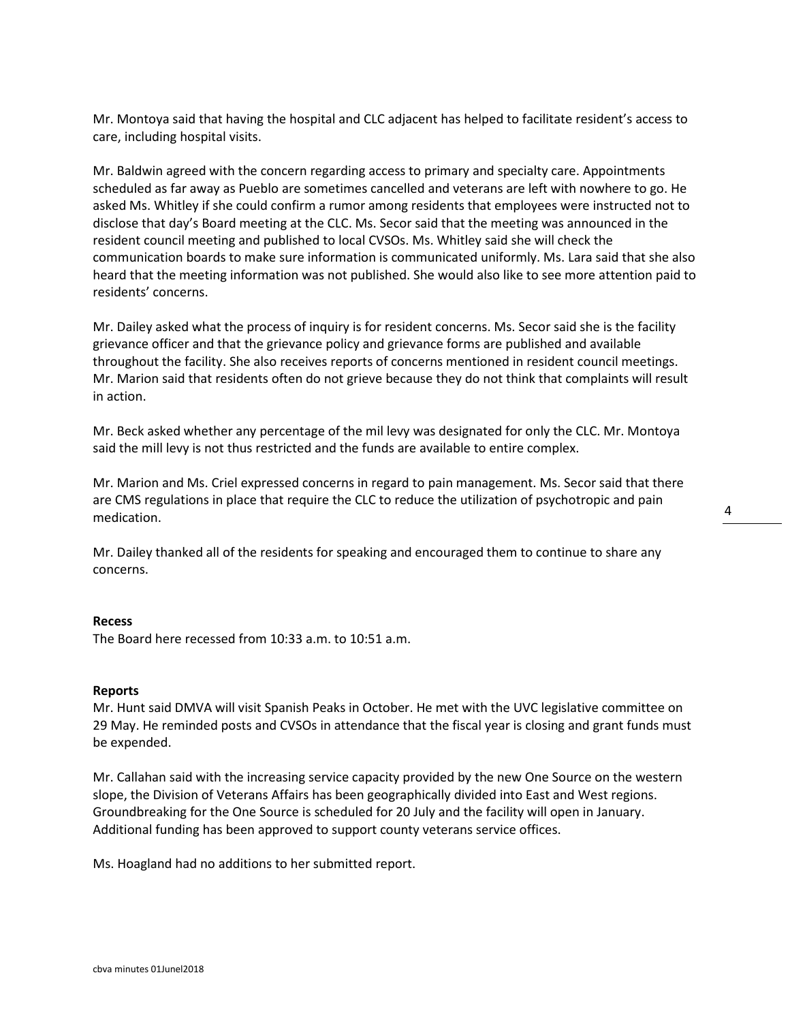Mr. Montoya said that having the hospital and CLC adjacent has helped to facilitate resident's access to care, including hospital visits.

Mr. Baldwin agreed with the concern regarding access to primary and specialty care. Appointments scheduled as far away as Pueblo are sometimes cancelled and veterans are left with nowhere to go. He asked Ms. Whitley if she could confirm a rumor among residents that employees were instructed not to disclose that day's Board meeting at the CLC. Ms. Secor said that the meeting was announced in the resident council meeting and published to local CVSOs. Ms. Whitley said she will check the communication boards to make sure information is communicated uniformly. Ms. Lara said that she also heard that the meeting information was not published. She would also like to see more attention paid to residents' concerns.

Mr. Dailey asked what the process of inquiry is for resident concerns. Ms. Secor said she is the facility grievance officer and that the grievance policy and grievance forms are published and available throughout the facility. She also receives reports of concerns mentioned in resident council meetings. Mr. Marion said that residents often do not grieve because they do not think that complaints will result in action.

Mr. Beck asked whether any percentage of the mil levy was designated for only the CLC. Mr. Montoya said the mill levy is not thus restricted and the funds are available to entire complex.

Mr. Marion and Ms. Criel expressed concerns in regard to pain management. Ms. Secor said that there are CMS regulations in place that require the CLC to reduce the utilization of psychotropic and pain medication.

Mr. Dailey thanked all of the residents for speaking and encouraged them to continue to share any concerns.

#### **Recess**

The Board here recessed from 10:33 a.m. to 10:51 a.m.

#### **Reports**

Mr. Hunt said DMVA will visit Spanish Peaks in October. He met with the UVC legislative committee on 29 May. He reminded posts and CVSOs in attendance that the fiscal year is closing and grant funds must be expended.

Mr. Callahan said with the increasing service capacity provided by the new One Source on the western slope, the Division of Veterans Affairs has been geographically divided into East and West regions. Groundbreaking for the One Source is scheduled for 20 July and the facility will open in January. Additional funding has been approved to support county veterans service offices.

Ms. Hoagland had no additions to her submitted report.